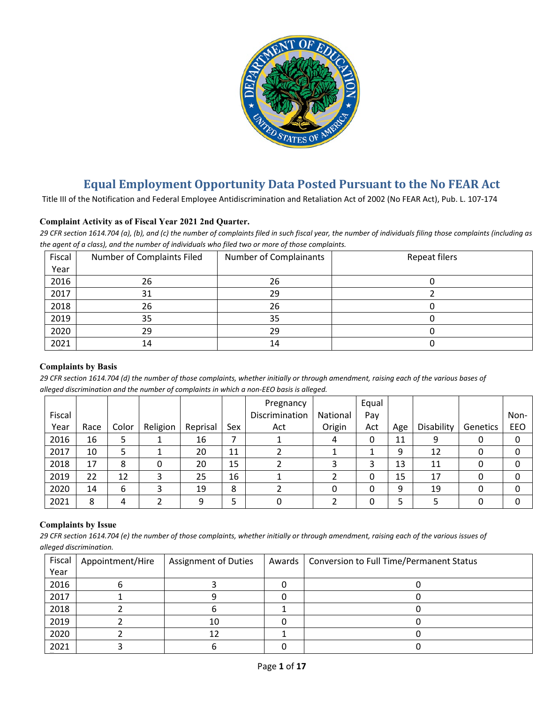

# **Equal Employment Opportunity Data Posted Pursuant to the No FEAR Act**

Title III of the Notification and Federal Employee Antidiscrimination and Retaliation Act of 2002 (No FEAR Act), Pub. L. 107-174

## **Complaint Activity as of Fiscal Year 2021 2nd Quarter.**

*29 CFR section 1614.704 (a), (b), and (c) the number of complaints filed in such fiscal year, the number of individuals filing those complaints (including as the agent of a class), and the number of individuals who filed two or more of those complaints.*

| Fiscal | Number of Complaints Filed | Number of Complainants | Repeat filers |
|--------|----------------------------|------------------------|---------------|
| Year   |                            |                        |               |
| 2016   | 26                         | 26                     |               |
| 2017   | 31                         | 29                     |               |
| 2018   | 26                         | 26                     |               |
| 2019   | 35                         | 35                     |               |
| 2020   | 29                         | 29                     |               |
| 2021   | 14                         | 14                     |               |

#### **Complaints by Basis**

*29 CFR section 1614.704 (d) the number of those complaints, whether initially or through amendment, raising each of the various bases of alleged discrimination and the number of complaints in which a non-EEO basis is alleged.*

|        |      |       |          |          |     | Pregnancy      |          | Equal |     |            |          |      |
|--------|------|-------|----------|----------|-----|----------------|----------|-------|-----|------------|----------|------|
| Fiscal |      |       |          |          |     | Discrimination | National | Pay   |     |            |          | Non- |
| Year   | Race | Color | Religion | Reprisal | Sex | Act            | Origin   | Act   | Age | Disability | Genetics | EEO  |
| 2016   | 16   |       |          | 16       |     |                | 4        | 0     | 11  | 9          |          | 0    |
| 2017   | 10   |       |          | 20       | 11  |                |          |       | 9   | 12         |          | 0    |
| 2018   | 17   | 8     |          | 20       | 15  |                |          | 3     | 13  | 11         |          | 0    |
| 2019   | 22   | 12    |          | 25       | 16  |                |          | 0     | 15  | 17         |          | 0    |
| 2020   | 14   | 6     |          | 19       | 8   |                |          | 0     | 9   | 19         |          | 0    |
| 2021   | 8    | 4     |          | q        |     |                |          | 0     | 5   |            |          | 0    |

#### **Complaints by Issue**

*29 CFR section 1614.704 (e) the number of those complaints, whether initially or through amendment, raising each of the various issues of alleged discrimination.*

| Fiscal | Appointment/Hire | <b>Assignment of Duties</b> | Awards | <b>Conversion to Full Time/Permanent Status</b> |
|--------|------------------|-----------------------------|--------|-------------------------------------------------|
| Year   |                  |                             |        |                                                 |
| 2016   |                  |                             |        |                                                 |
| 2017   |                  |                             |        |                                                 |
| 2018   |                  |                             |        |                                                 |
| 2019   |                  | 10                          |        |                                                 |
| 2020   |                  |                             |        |                                                 |
| 2021   |                  |                             |        |                                                 |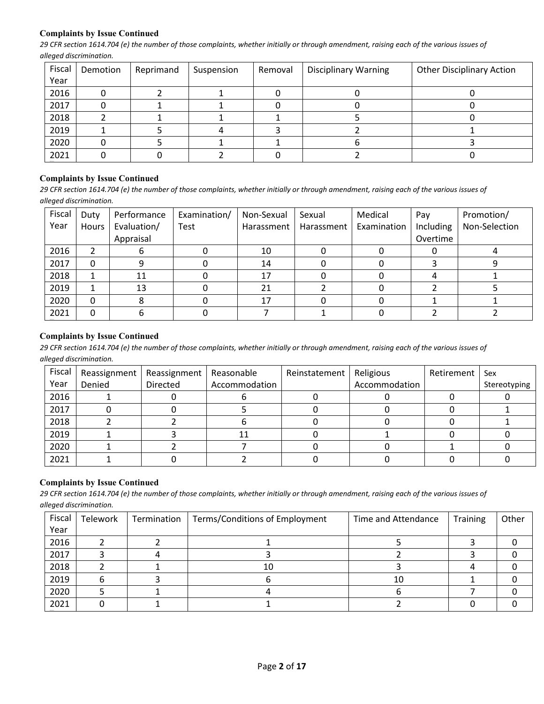## **Complaints by Issue Continued**

*29 CFR section 1614.704 (e) the number of those complaints, whether initially or through amendment, raising each of the various issues of alleged discrimination.*

| Fiscal | Demotion | Reprimand | Suspension | Removal | <b>Disciplinary Warning</b> | <b>Other Disciplinary Action</b> |
|--------|----------|-----------|------------|---------|-----------------------------|----------------------------------|
| Year   |          |           |            |         |                             |                                  |
| 2016   |          |           |            |         |                             |                                  |
| 2017   |          |           |            |         |                             |                                  |
| 2018   |          |           |            |         |                             |                                  |
| 2019   |          |           |            |         |                             |                                  |
| 2020   |          |           |            |         |                             |                                  |
| 2021   |          |           |            |         |                             |                                  |

### **Complaints by Issue Continued**

*29 CFR section 1614.704 (e) the number of those complaints, whether initially or through amendment, raising each of the various issues of alleged discrimination.*

| Fiscal | Duty  | Performance | Examination/ | Non-Sexual | Sexual     | Medical     | Pay       | Promotion/    |
|--------|-------|-------------|--------------|------------|------------|-------------|-----------|---------------|
| Year   | Hours | Evaluation/ | Test         | Harassment | Harassment | Examination | Including | Non-Selection |
|        |       | Appraisal   |              |            |            |             | Overtime  |               |
| 2016   |       |             |              | 10         |            |             |           |               |
| 2017   |       |             |              | 14         |            |             |           |               |
| 2018   |       | 11          |              | 17         |            |             |           |               |
| 2019   |       | 13          |              | 21         |            |             |           |               |
| 2020   | 0     |             |              | 17         |            |             |           |               |
| 2021   |       |             |              |            |            |             |           |               |

#### **Complaints by Issue Continued**

*29 CFR section 1614.704 (e) the number of those complaints, whether initially or through amendment, raising each of the various issues of alleged discrimination.*

| Fiscal | Reassignment | Reassignment | Reasonable    | Reinstatement | Religious     | Retirement | Sex          |
|--------|--------------|--------------|---------------|---------------|---------------|------------|--------------|
| Year   | Denied       | Directed     | Accommodation |               | Accommodation |            | Stereotyping |
| 2016   |              |              |               |               |               |            |              |
| 2017   |              |              |               |               |               |            |              |
| 2018   |              |              |               |               |               |            |              |
| 2019   |              |              | 11            |               |               |            |              |
| 2020   |              |              |               |               |               |            |              |
| 2021   |              |              |               |               |               |            |              |

# **Complaints by Issue Continued**

*29 CFR section 1614.704 (e) the number of those complaints, whether initially or through amendment, raising each of the various issues of alleged discrimination.*

| Fiscal | Telework | Termination | Terms/Conditions of Employment | Time and Attendance | <b>Training</b> | Other |
|--------|----------|-------------|--------------------------------|---------------------|-----------------|-------|
| Year   |          |             |                                |                     |                 |       |
| 2016   |          |             |                                |                     |                 |       |
| 2017   |          |             |                                |                     |                 |       |
| 2018   |          |             | 10                             |                     |                 |       |
| 2019   |          |             |                                | 10                  |                 |       |
| 2020   |          |             |                                |                     |                 |       |
| 2021   |          |             |                                |                     |                 |       |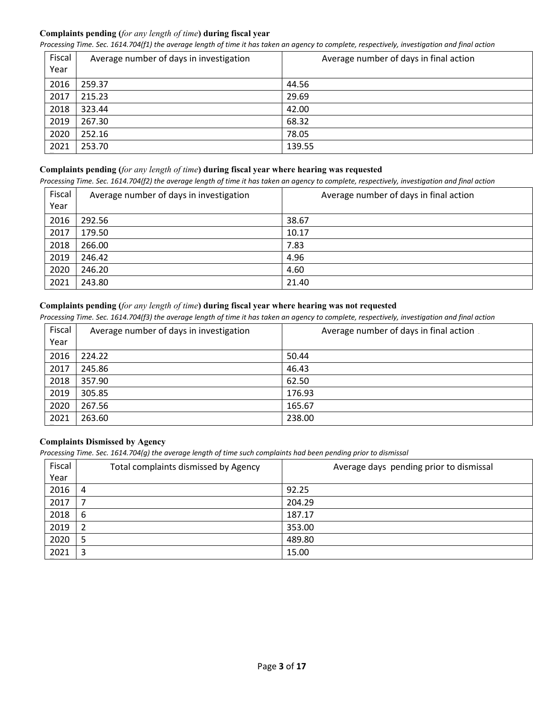# **Complaints pending (***for any length of time***) during fiscal year**

*Processing Time. Sec. 1614.704(f1) the average length of time it has taken an agency to complete, respectively, investigation and final action*

| Fiscal<br>Year | Average number of days in investigation | Average number of days in final action |
|----------------|-----------------------------------------|----------------------------------------|
| 2016           | 259.37                                  | 44.56                                  |
| 2017           | 215.23                                  | 29.69                                  |
| 2018           | 323.44                                  | 42.00                                  |
| 2019           | 267.30                                  | 68.32                                  |
| 2020           | 252.16                                  | 78.05                                  |
| 2021           | 253.70                                  | 139.55                                 |

## **Complaints pending (***for any length of time***) during fiscal year where hearing was requested**

*Processing Time. Sec. 1614.704(f2) the average length of time it has taken an agency to complete, respectively, investigation and final action*

| Fiscal<br>Year | Average number of days in investigation | Average number of days in final action |
|----------------|-----------------------------------------|----------------------------------------|
| 2016           | 292.56                                  | 38.67                                  |
| 2017           | 179.50                                  | 10.17                                  |
| 2018           | 266.00                                  | 7.83                                   |
| 2019           | 246.42                                  | 4.96                                   |
| 2020           | 246.20                                  | 4.60                                   |
| 2021           | 243.80                                  | 21.40                                  |

# **Complaints pending (***for any length of time***) during fiscal year where hearing was not requested**

*Processing Time. Sec. 1614.704(f3) the average length of time it has taken an agency to complete, respectively, investigation and final action*

| Fiscal | Average number of days in investigation | Average number of days in final action |
|--------|-----------------------------------------|----------------------------------------|
| Year   |                                         |                                        |
| 2016   | 224.22                                  | 50.44                                  |
| 2017   | 245.86                                  | 46.43                                  |
| 2018   | 357.90                                  | 62.50                                  |
| 2019   | 305.85                                  | 176.93                                 |
| 2020   | 267.56                                  | 165.67                                 |
| 2021   | 263.60                                  | 238.00                                 |

# **Complaints Dismissed by Agency**

*Processing Time. Sec. 1614.704(g) the average length of time such complaints had been pending prior to dismissal*

| Fiscal | Total complaints dismissed by Agency | Average days pending prior to dismissal |
|--------|--------------------------------------|-----------------------------------------|
| Year   |                                      |                                         |
| 2016   | 4                                    | 92.25                                   |
| 2017   | 7                                    | 204.29                                  |
| 2018   | 6                                    | 187.17                                  |
| 2019   | 2                                    | 353.00                                  |
| 2020   | 5                                    | 489.80                                  |
| 2021   | 3                                    | 15.00                                   |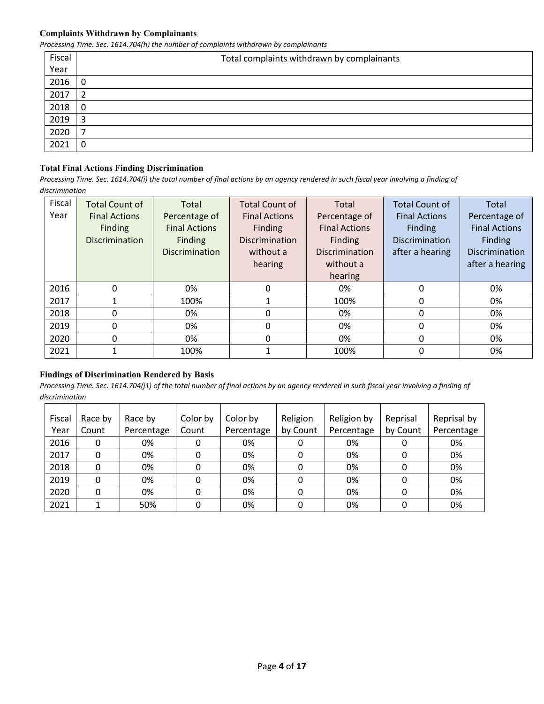#### **Complaints Withdrawn by Complainants**

*Processing Time. Sec. 1614.704(h) the number of complaints withdrawn by complainants*

| Fiscal | Total complaints withdrawn by complainants |
|--------|--------------------------------------------|
| Year   |                                            |
| 2016   | 0                                          |
| 2017   | 2                                          |
| 2018   | 0                                          |
| 2019   | 3                                          |
| 2020   | ⇁                                          |
| 2021   | 0                                          |

# **Total Final Actions Finding Discrimination**

*Processing Time. Sec. 1614.704(i) the total number of final actions by an agency rendered in such fiscal year involving a finding of discrimination* 

| Fiscal | <b>Total Count of</b> | Total                 | <b>Total Count of</b> | Total                 | <b>Total Count of</b> | Total                |
|--------|-----------------------|-----------------------|-----------------------|-----------------------|-----------------------|----------------------|
| Year   | <b>Final Actions</b>  | Percentage of         | <b>Final Actions</b>  | Percentage of         | <b>Final Actions</b>  | Percentage of        |
|        | <b>Finding</b>        | <b>Final Actions</b>  | Finding               | <b>Final Actions</b>  | Finding               | <b>Final Actions</b> |
|        | <b>Discrimination</b> | Finding               | <b>Discrimination</b> | Finding               | <b>Discrimination</b> | Finding              |
|        |                       | <b>Discrimination</b> | without a             | <b>Discrimination</b> | after a hearing       | Discrimination       |
|        |                       |                       | hearing               | without a             |                       | after a hearing      |
|        |                       |                       |                       | hearing               |                       |                      |
| 2016   | 0                     | 0%                    | 0                     | 0%                    | 0                     | 0%                   |
| 2017   |                       | 100%                  |                       | 100%                  | 0                     | 0%                   |
| 2018   | 0                     | 0%                    | 0                     | 0%                    | 0                     | 0%                   |
| 2019   | $\Omega$              | 0%                    | 0                     | 0%                    | 0                     | 0%                   |
| 2020   | 0                     | 0%                    | 0                     | 0%                    | 0                     | 0%                   |
| 2021   |                       | 100%                  |                       | 100%                  | $\mathbf{0}$          | 0%                   |

#### **Findings of Discrimination Rendered by Basis**

| Fiscal | Race by | Race by    | Color by | Color by   | Religion | Religion by | Reprisal | Reprisal by |
|--------|---------|------------|----------|------------|----------|-------------|----------|-------------|
| Year   | Count   | Percentage | Count    | Percentage | by Count | Percentage  | by Count | Percentage  |
| 2016   | 0       | 0%         |          | 0%         |          | 0%          |          | 0%          |
| 2017   |         | 0%         |          | 0%         |          | 0%          |          | 0%          |
| 2018   |         | 0%         |          | 0%         |          | 0%          |          | 0%          |
| 2019   |         | 0%         |          | 0%         |          | 0%          |          | 0%          |
| 2020   |         | 0%         |          | 0%         |          | 0%          |          | 0%          |
| 2021   |         | 50%        |          | 0%         |          | 0%          |          | 0%          |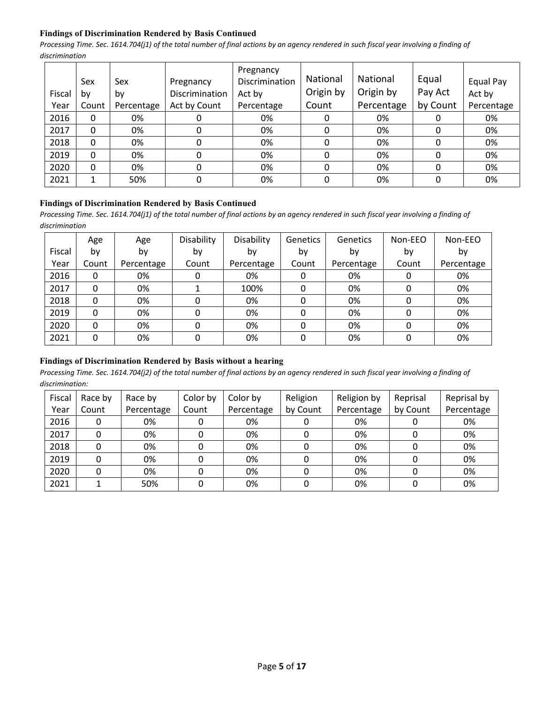# **Findings of Discrimination Rendered by Basis Continued**

*Processing Time. Sec. 1614.704(j1) of the total number of final actions by an agency rendered in such fiscal year involving a finding of discrimination* 

| Fiscal | Sex<br>b٧ | Sex<br>by  | Pregnancy<br>Discrimination | Pregnancy<br>Discrimination<br>Act by | <b>National</b><br>Origin by | National<br>Origin by | Equal<br>Pay Act | <b>Equal Pay</b><br>Act by |
|--------|-----------|------------|-----------------------------|---------------------------------------|------------------------------|-----------------------|------------------|----------------------------|
| Year   | Count     | Percentage | Act by Count                | Percentage                            | Count                        | Percentage            | by Count         | Percentage                 |
| 2016   | 0         | 0%         | O                           | 0%                                    | 0                            | 0%                    |                  | 0%                         |
| 2017   | 0         | 0%         | 0                           | 0%                                    | 0                            | 0%                    | 0                | 0%                         |
| 2018   | 0         | 0%         | 0                           | 0%                                    | 0                            | 0%                    | 0                | 0%                         |
| 2019   | 0         | 0%         | 0                           | 0%                                    | 0                            | 0%                    | 0                | 0%                         |
| 2020   | 0         | 0%         | 0                           | 0%                                    | 0                            | 0%                    | 0                | 0%                         |
| 2021   |           | 50%        | 0                           | 0%                                    | 0                            | 0%                    | 0                | 0%                         |

# **Findings of Discrimination Rendered by Basis Continued**

Processing Time. Sec. 1614.704(j1) of the total number of final actions by an agency rendered in such fiscal year involving a finding of *discrimination* 

|        | Age   | Age        | Disability | Disability | <b>Genetics</b> | Genetics   | Non-EEO | Non-EEO    |
|--------|-------|------------|------------|------------|-----------------|------------|---------|------------|
| Fiscal | by    | by         | by         | by         | by              | by         | by      | by         |
| Year   | Count | Percentage | Count      | Percentage | Count           | Percentage | Count   | Percentage |
| 2016   | 0     | 0%         | 0          | 0%         | 0               | 0%         | 0       | 0%         |
| 2017   | 0     | 0%         |            | 100%       | 0               | 0%         |         | 0%         |
| 2018   | 0     | 0%         | 0          | 0%         | 0               | 0%         | 0       | 0%         |
| 2019   | 0     | 0%         | 0          | 0%         | 0               | 0%         | 0       | 0%         |
| 2020   | 0     | 0%         | 0          | 0%         | 0               | 0%         | 0       | 0%         |
| 2021   | 0     | 0%         | 0          | 0%         | 0               | 0%         | 0       | 0%         |

# **Findings of Discrimination Rendered by Basis without a hearing**

| Fiscal | Race by | Race by    | Color by | Color by   | Religion | Religion by | Reprisal | Reprisal by |
|--------|---------|------------|----------|------------|----------|-------------|----------|-------------|
| Year   | Count   | Percentage | Count    | Percentage | by Count | Percentage  | by Count | Percentage  |
| 2016   |         | 0%         |          | 0%         |          | 0%          |          | 0%          |
| 2017   |         | 0%         |          | 0%         |          | 0%          |          | 0%          |
| 2018   |         | 0%         |          | 0%         |          | 0%          |          | 0%          |
| 2019   |         | 0%         |          | 0%         |          | 0%          |          | 0%          |
| 2020   | 0       | 0%         |          | 0%         |          | 0%          |          | 0%          |
| 2021   |         | 50%        |          | 0%         |          | 0%          |          | 0%          |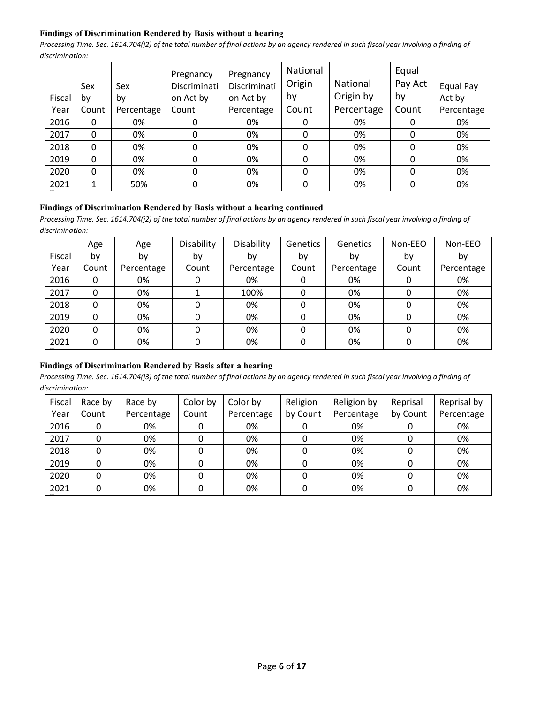# **Findings of Discrimination Rendered by Basis without a hearing**

*Processing Time. Sec. 1614.704(j2) of the total number of final actions by an agency rendered in such fiscal year involving a finding of discrimination:* 

|        | Sex      | Sex        | Pregnancy<br>Discriminati | Pregnancy<br>Discriminati | National<br>Origin | National   | Equal<br>Pay Act | Equal Pay  |
|--------|----------|------------|---------------------------|---------------------------|--------------------|------------|------------------|------------|
| Fiscal | by       | by         | on Act by                 | on Act by                 | by                 | Origin by  | by               | Act by     |
| Year   | Count    | Percentage | Count                     | Percentage                | Count              | Percentage | Count            | Percentage |
| 2016   | 0        | 0%         |                           | 0%                        |                    | 0%         | 0                | 0%         |
| 2017   | $\Omega$ | 0%         | 0                         | 0%                        | 0                  | 0%         | 0                | 0%         |
| 2018   | 0        | 0%         | 0                         | 0%                        | 0                  | 0%         | 0                | 0%         |
| 2019   | $\Omega$ | 0%         | 0                         | 0%                        | 0                  | 0%         | 0                | 0%         |
| 2020   | $\Omega$ | 0%         | 0                         | 0%                        | 0                  | 0%         | $\Omega$         | 0%         |
| 2021   | 1        | 50%        | 0                         | 0%                        | 0                  | 0%         | 0                | 0%         |

#### **Findings of Discrimination Rendered by Basis without a hearing continued**

*Processing Time. Sec. 1614.704(j2) of the total number of final actions by an agency rendered in such fiscal year involving a finding of discrimination:* 

|        | Age   | Age        | Disability | Disability | Genetics | Genetics   | Non-EEO | Non-EEO    |
|--------|-------|------------|------------|------------|----------|------------|---------|------------|
| Fiscal | b٧    | by         | by         | bv         | by       | by         | by      | by         |
| Year   | Count | Percentage | Count      | Percentage | Count    | Percentage | Count   | Percentage |
| 2016   | 0     | 0%         |            | 0%         | 0        | 0%         |         | 0%         |
| 2017   | 0     | 0%         |            | 100%       |          | 0%         |         | 0%         |
| 2018   | 0     | 0%         |            | 0%         |          | 0%         |         | 0%         |
| 2019   | 0     | 0%         |            | 0%         |          | 0%         |         | 0%         |
| 2020   | 0     | 0%         |            | 0%         |          | 0%         |         | 0%         |
| 2021   | 0     | 0%         | O          | 0%         | 0        | 0%         |         | 0%         |

### **Findings of Discrimination Rendered by Basis after a hearing**

| Fiscal | Race by | Race by    | Color by | Color by   | Religion | Religion by | Reprisal | Reprisal by |
|--------|---------|------------|----------|------------|----------|-------------|----------|-------------|
| Year   | Count   | Percentage | Count    | Percentage | by Count | Percentage  | by Count | Percentage  |
| 2016   | 0       | 0%         |          | 0%         |          | 0%          |          | 0%          |
| 2017   |         | 0%         |          | 0%         |          | 0%          |          | 0%          |
| 2018   |         | 0%         |          | 0%         |          | 0%          |          | 0%          |
| 2019   |         | 0%         |          | 0%         |          | 0%          |          | 0%          |
| 2020   |         | 0%         |          | 0%         |          | 0%          |          | 0%          |
| 2021   |         | 0%         |          | 0%         |          | 0%          |          | 0%          |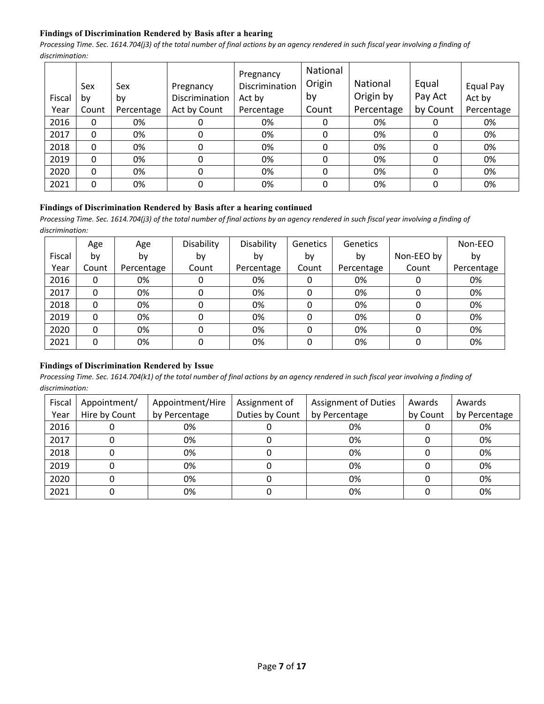# **Findings of Discrimination Rendered by Basis after a hearing**

*Processing Time. Sec. 1614.704(j3) of the total number of final actions by an agency rendered in such fiscal year involving a finding of discrimination:* 

|        | Sex   | Sex        | Pregnancy      | Pregnancy<br>Discrimination | National<br>Origin | National   | Equal    | Equal Pay  |
|--------|-------|------------|----------------|-----------------------------|--------------------|------------|----------|------------|
| Fiscal | bv    | by         | Discrimination | Act by                      | by                 | Origin by  | Pay Act  | Act by     |
| Year   | Count | Percentage | Act by Count   | Percentage                  | Count              | Percentage | by Count | Percentage |
| 2016   | 0     | 0%         | 0              | 0%                          | 0                  | 0%         | 0        | 0%         |
| 2017   | 0     | 0%         | 0              | 0%                          | 0                  | 0%         | 0        | 0%         |
| 2018   | 0     | 0%         | 0              | 0%                          | 0                  | 0%         | 0        | 0%         |
| 2019   | 0     | 0%         | 0              | 0%                          | 0                  | 0%         | 0        | 0%         |
| 2020   | 0     | 0%         | 0              | 0%                          | 0                  | 0%         | 0        | 0%         |
| 2021   | 0     | 0%         | 0              | 0%                          | 0                  | 0%         | 0        | 0%         |

#### **Findings of Discrimination Rendered by Basis after a hearing continued**

*Processing Time. Sec. 1614.704(j3) of the total number of final actions by an agency rendered in such fiscal year involving a finding of discrimination:* 

|        | Age   | Age        | Disability | Disability | <b>Genetics</b> | <b>Genetics</b> |            | Non-EEO    |
|--------|-------|------------|------------|------------|-----------------|-----------------|------------|------------|
| Fiscal | b٧    | by         | by         | bv         | by              | by              | Non-EEO by | by         |
| Year   | Count | Percentage | Count      | Percentage | Count           | Percentage      | Count      | Percentage |
| 2016   | 0     | 0%         | 0          | 0%         | 0               | 0%              | 0          | 0%         |
| 2017   | 0     | 0%         | 0          | 0%         | 0               | 0%              | 0          | 0%         |
| 2018   | 0     | 0%         | 0          | 0%         | 0               | 0%              | 0          | 0%         |
| 2019   | 0     | 0%         | 0          | 0%         | 0               | 0%              | 0          | 0%         |
| 2020   | 0     | 0%         | 0          | 0%         | 0               | 0%              | 0          | 0%         |
| 2021   | 0     | 0%         | 0          | 0%         | $\Omega$        | 0%              | 0          | 0%         |

#### **Findings of Discrimination Rendered by Issue**

| Fiscal | Appointment/  | Appointment/Hire | Assignment of   | <b>Assignment of Duties</b> | Awards   | Awards        |
|--------|---------------|------------------|-----------------|-----------------------------|----------|---------------|
| Year   | Hire by Count | by Percentage    | Duties by Count | by Percentage               | by Count | by Percentage |
| 2016   |               | 0%               |                 | 0%                          |          | 0%            |
| 2017   |               | 0%               |                 | 0%                          |          | 0%            |
| 2018   |               | 0%               |                 | 0%                          |          | 0%            |
| 2019   |               | 0%               |                 | 0%                          |          | 0%            |
| 2020   |               | 0%               |                 | 0%                          |          | 0%            |
| 2021   |               | 0%               |                 | 0%                          |          | 0%            |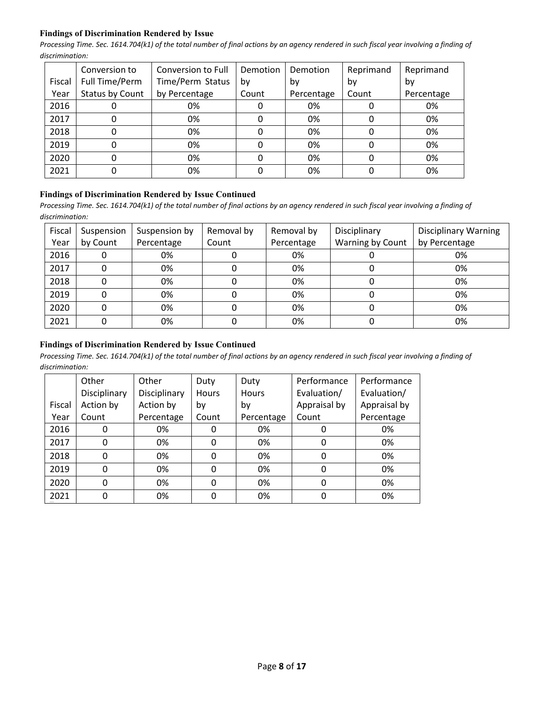## **Findings of Discrimination Rendered by Issue**

*Processing Time. Sec. 1614.704(k1) of the total number of final actions by an agency rendered in such fiscal year involving a finding of discrimination:* 

|        | Conversion to   | Conversion to Full | Demotion | Demotion   | Reprimand | Reprimand  |
|--------|-----------------|--------------------|----------|------------|-----------|------------|
| Fiscal | Full Time/Perm  | Time/Perm Status   | bv       | bv         | bv        | bv         |
| Year   | Status by Count | by Percentage      | Count    | Percentage | Count     | Percentage |
| 2016   | O               | 0%                 |          | 0%         |           | 0%         |
| 2017   | 0               | 0%                 | 0        | 0%         | 0         | 0%         |
| 2018   | 0               | 0%                 |          | 0%         | 0         | 0%         |
| 2019   | 0               | 0%                 |          | 0%         | O         | 0%         |
| 2020   | 0               | 0%                 |          | 0%         | 0         | 0%         |
| 2021   | 0               | 0%                 |          | 0%         |           | 0%         |

#### **Findings of Discrimination Rendered by Issue Continued**

*Processing Time. Sec. 1614.704(k1) of the total number of final actions by an agency rendered in such fiscal year involving a finding of discrimination:* 

| Fiscal | Suspension | Suspension by | Removal by | Removal by | Disciplinary     | <b>Disciplinary Warning</b> |
|--------|------------|---------------|------------|------------|------------------|-----------------------------|
| Year   | by Count   | Percentage    | Count      | Percentage | Warning by Count | by Percentage               |
| 2016   |            | 0%            |            | 0%         |                  | 0%                          |
| 2017   |            | 0%            |            | 0%         |                  | 0%                          |
| 2018   |            | 0%            |            | 0%         |                  | 0%                          |
| 2019   |            | 0%            |            | 0%         |                  | 0%                          |
| 2020   |            | 0%            |            | 0%         |                  | 0%                          |
| 2021   |            | 0%            |            | 0%         |                  | 0%                          |

# **Findings of Discrimination Rendered by Issue Continued**

|        | Other        | Other        | Duty     | Duty         | Performance  | Performance  |
|--------|--------------|--------------|----------|--------------|--------------|--------------|
|        | Disciplinary | Disciplinary | Hours    | <b>Hours</b> | Evaluation/  | Evaluation/  |
| Fiscal | Action by    | Action by    | by       | by           | Appraisal by | Appraisal by |
| Year   | Count        | Percentage   | Count    | Percentage   | Count        | Percentage   |
| 2016   | 0            | 0%           | 0        | 0%           | 0            | 0%           |
| 2017   | $\mathbf{0}$ | 0%           | 0        | 0%           | 0            | 0%           |
| 2018   | 0            | 0%           | 0        | 0%           | 0            | 0%           |
| 2019   | 0            | 0%           | $\Omega$ | 0%           | 0            | 0%           |
| 2020   | 0            | 0%           | 0        | 0%           | 0            | 0%           |
| 2021   | 0            | 0%           |          | 0%           | 0            | 0%           |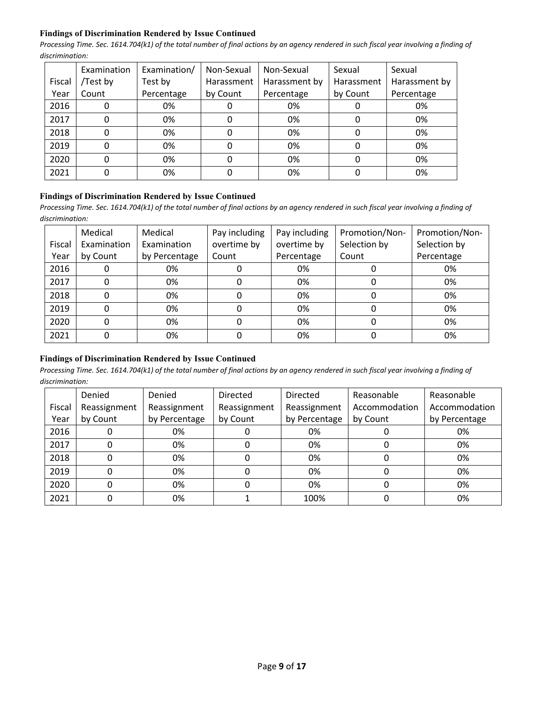## **Findings of Discrimination Rendered by Issue Continued**

*Processing Time. Sec. 1614.704(k1) of the total number of final actions by an agency rendered in such fiscal year involving a finding of discrimination:* 

|        | Examination | Examination/ | Non-Sexual | Non-Sexual    | Sexual     | Sexual        |
|--------|-------------|--------------|------------|---------------|------------|---------------|
| Fiscal | Test by     | Test by      | Harassment | Harassment by | Harassment | Harassment by |
| Year   | Count       | Percentage   | by Count   | Percentage    | by Count   | Percentage    |
| 2016   |             | 0%           |            | 0%            |            | 0%            |
| 2017   |             | 0%           |            | 0%            |            | 0%            |
| 2018   |             | 0%           |            | 0%            |            | 0%            |
| 2019   |             | 0%           |            | 0%            |            | 0%            |
| 2020   |             | 0%           |            | 0%            |            | 0%            |
| 2021   |             | 0%           |            | 0%            |            | 0%            |

## **Findings of Discrimination Rendered by Issue Continued**

*Processing Time. Sec. 1614.704(k1) of the total number of final actions by an agency rendered in such fiscal year involving a finding of discrimination:* 

|        | Medical     | Medical       | Pay including | Pay including | Promotion/Non- | Promotion/Non- |
|--------|-------------|---------------|---------------|---------------|----------------|----------------|
| Fiscal | Examination | Examination   | overtime by   | overtime by   | Selection by   | Selection by   |
| Year   | by Count    | by Percentage | Count         | Percentage    | Count          | Percentage     |
| 2016   | 0           | 0%            |               | 0%            |                | 0%             |
| 2017   | 0           | 0%            |               | 0%            |                | 0%             |
| 2018   | 0           | 0%            |               | 0%            |                | 0%             |
| 2019   | 0           | 0%            |               | 0%            |                | 0%             |
| 2020   | 0           | 0%            |               | 0%            |                | 0%             |
| 2021   | 0           | 0%            |               | 0%            |                | 0%             |

# **Findings of Discrimination Rendered by Issue Continued**

|        | Denied       | Denied        | <b>Directed</b> | <b>Directed</b> | Reasonable    | Reasonable    |
|--------|--------------|---------------|-----------------|-----------------|---------------|---------------|
| Fiscal | Reassignment | Reassignment  | Reassignment    | Reassignment    | Accommodation | Accommodation |
| Year   | by Count     | by Percentage | by Count        | by Percentage   | by Count      | by Percentage |
| 2016   |              | 0%            |                 | 0%              |               | 0%            |
| 2017   |              | 0%            | 0               | 0%              |               | 0%            |
| 2018   |              | 0%            |                 | 0%              |               | 0%            |
| 2019   |              | 0%            |                 | 0%              |               | 0%            |
| 2020   |              | 0%            |                 | 0%              |               | 0%            |
| 2021   |              | 0%            |                 | 100%            |               | 0%            |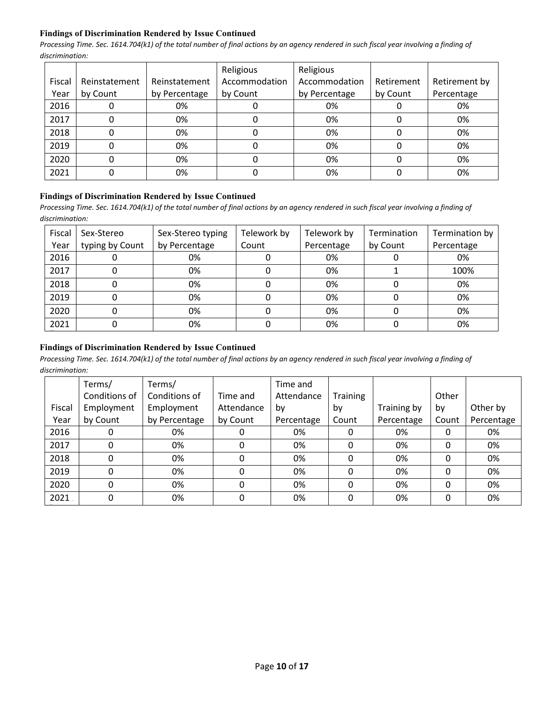## **Findings of Discrimination Rendered by Issue Continued**

*Processing Time. Sec. 1614.704(k1) of the total number of final actions by an agency rendered in such fiscal year involving a finding of discrimination:* 

|        |               |               | Religious     | Religious     |            |               |
|--------|---------------|---------------|---------------|---------------|------------|---------------|
| Fiscal | Reinstatement | Reinstatement | Accommodation | Accommodation | Retirement | Retirement by |
| Year   | by Count      | by Percentage | by Count      | by Percentage | by Count   | Percentage    |
| 2016   |               | 0%            |               | 0%            |            | 0%            |
| 2017   |               | 0%            |               | 0%            |            | 0%            |
| 2018   |               | 0%            |               | 0%            |            | 0%            |
| 2019   |               | 0%            |               | 0%            |            | 0%            |
| 2020   |               | 0%            |               | 0%            |            | 0%            |
| 2021   |               | 0%            |               | 0%            |            | 0%            |

#### **Findings of Discrimination Rendered by Issue Continued**

Processing Time. Sec. 1614.704(k1) of the total number of final actions by an agency rendered in such fiscal year involving a finding of *discrimination:* 

| Fiscal<br>Year | Sex-Stereo<br>typing by Count | Sex-Stereo typing<br>by Percentage | Telework by<br>Count | Telework by<br>Percentage | Termination<br>by Count | Termination by<br>Percentage |
|----------------|-------------------------------|------------------------------------|----------------------|---------------------------|-------------------------|------------------------------|
| 2016           |                               | 0%                                 |                      | 0%                        |                         | 0%                           |
| 2017           |                               | 0%                                 |                      | 0%                        |                         | 100%                         |
| 2018           |                               | 0%                                 |                      | 0%                        |                         | 0%                           |
| 2019           |                               | 0%                                 |                      | 0%                        |                         | 0%                           |
| 2020           |                               | 0%                                 |                      | 0%                        |                         | 0%                           |
| 2021           |                               | 0%                                 |                      | 0%                        |                         | 0%                           |

# **Findings of Discrimination Rendered by Issue Continued**

|        | Terms/        | Terms/        |            | Time and   |                 |             |       |            |
|--------|---------------|---------------|------------|------------|-----------------|-------------|-------|------------|
|        | Conditions of | Conditions of | Time and   | Attendance | <b>Training</b> |             | Other |            |
| Fiscal | Employment    | Employment    | Attendance | b٧         | by              | Training by | by    | Other by   |
| Year   | by Count      | by Percentage | by Count   | Percentage | Count           | Percentage  | Count | Percentage |
| 2016   | 0             | 0%            |            | 0%         | 0               | 0%          | 0     | 0%         |
| 2017   | 0             | 0%            | 0          | 0%         | 0               | 0%          | 0     | 0%         |
| 2018   | 0             | 0%            | 0          | 0%         | 0               | 0%          | 0     | 0%         |
| 2019   | 0             | 0%            | 0          | 0%         | 0               | 0%          | 0     | 0%         |
| 2020   | 0             | 0%            | 0          | 0%         | 0               | 0%          | 0     | 0%         |
| 2021   | 0             | 0%            | 0          | 0%         | 0               | 0%          | 0     | 0%         |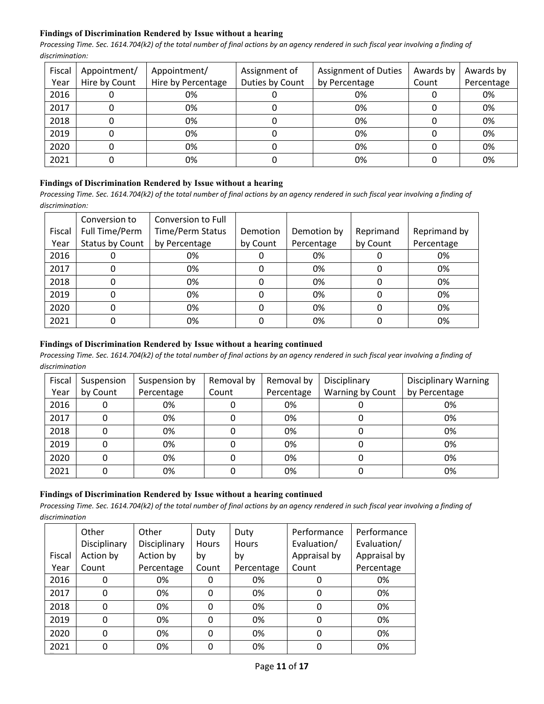# **Findings of Discrimination Rendered by Issue without a hearing**

*Processing Time. Sec. 1614.704(k2) of the total number of final actions by an agency rendered in such fiscal year involving a finding of discrimination:* 

| Fiscal | Appointment/  | Appointment/       | Assignment of   | <b>Assignment of Duties</b> | Awards by | Awards by  |
|--------|---------------|--------------------|-----------------|-----------------------------|-----------|------------|
| Year   | Hire by Count | Hire by Percentage | Duties by Count | by Percentage               | Count     | Percentage |
| 2016   |               | 0%                 |                 | 0%                          |           | 0%         |
| 2017   |               | 0%                 |                 | 0%                          |           | 0%         |
| 2018   |               | 0%                 |                 | 0%                          |           | 0%         |
| 2019   | 0             | 0%                 | 0               | 0%                          |           | 0%         |
| 2020   |               | 0%                 |                 | 0%                          |           | 0%         |
| 2021   |               | 0%                 |                 | 0%                          |           | 0%         |

# **Findings of Discrimination Rendered by Issue without a hearing**

*Processing Time. Sec. 1614.704(k2) of the total number of final actions by an agency rendered in such fiscal year involving a finding of discrimination:* 

|        | Conversion to   | Conversion to Full      |          |             |           |              |
|--------|-----------------|-------------------------|----------|-------------|-----------|--------------|
| Fiscal | Full Time/Perm  | <b>Time/Perm Status</b> | Demotion | Demotion by | Reprimand | Reprimand by |
| Year   | Status by Count | by Percentage           | by Count | Percentage  | by Count  | Percentage   |
| 2016   |                 | 0%                      |          | 0%          |           | 0%           |
| 2017   |                 | 0%                      |          | 0%          |           | 0%           |
| 2018   |                 | 0%                      |          | 0%          |           | 0%           |
| 2019   |                 | 0%                      |          | 0%          |           | 0%           |
| 2020   |                 | 0%                      |          | 0%          |           | 0%           |
| 2021   |                 | 0%                      |          | 0%          |           | 0%           |

# **Findings of Discrimination Rendered by Issue without a hearing continued**

*Processing Time. Sec. 1614.704(k2) of the total number of final actions by an agency rendered in such fiscal year involving a finding of discrimination*

| Fiscal | Suspension | Suspension by | Removal by | Removal by | Disciplinary     | <b>Disciplinary Warning</b> |
|--------|------------|---------------|------------|------------|------------------|-----------------------------|
| Year   | by Count   | Percentage    | Count      | Percentage | Warning by Count | by Percentage               |
| 2016   |            | 0%            |            | 0%         |                  | 0%                          |
| 2017   |            | 0%            |            | 0%         |                  | 0%                          |
| 2018   |            | 0%            |            | 0%         |                  | 0%                          |
| 2019   |            | 0%            |            | 0%         |                  | 0%                          |
| 2020   |            | 0%            |            | 0%         |                  | 0%                          |
| 2021   |            | 0%            |            | 0%         |                  | 0%                          |

# **Findings of Discrimination Rendered by Issue without a hearing continued**

|        | Other        | Other        | Duty  | Duty         | Performance  | Performance  |
|--------|--------------|--------------|-------|--------------|--------------|--------------|
|        | Disciplinary | Disciplinary | Hours | <b>Hours</b> | Evaluation/  | Evaluation/  |
| Fiscal | Action by    | Action by    | bγ    | bv           | Appraisal by | Appraisal by |
| Year   | Count        | Percentage   | Count | Percentage   | Count        | Percentage   |
| 2016   | 0            | 0%           |       | 0%           |              | 0%           |
| 2017   | 0            | 0%           | 0     | 0%           |              | 0%           |
| 2018   | 0            | 0%           | 0     | 0%           | 0            | 0%           |
| 2019   | 0            | 0%           | 0     | 0%           |              | 0%           |
| 2020   | 0            | 0%           | 0     | 0%           |              | 0%           |
| 2021   | 0            | 0%           |       | 0%           |              | 0%           |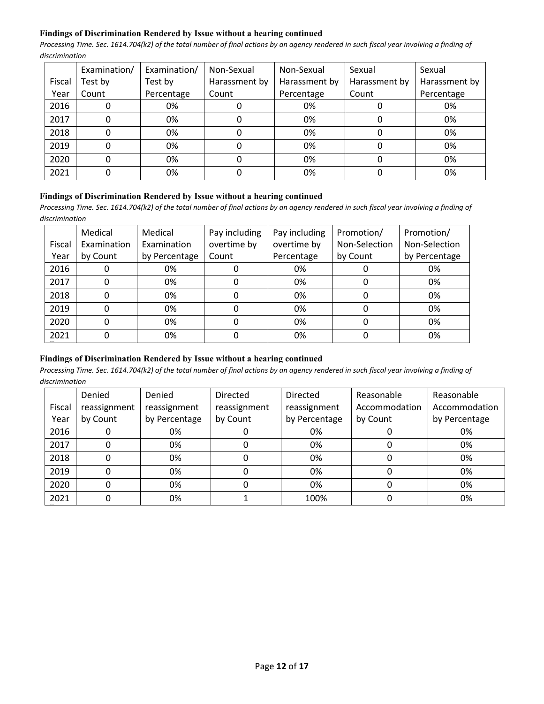## **Findings of Discrimination Rendered by Issue without a hearing continued**

*Processing Time. Sec. 1614.704(k2) of the total number of final actions by an agency rendered in such fiscal year involving a finding of discrimination*

|        | Examination/ | Examination/ | Non-Sexual    | Non-Sexual    | Sexual        | Sexual        |
|--------|--------------|--------------|---------------|---------------|---------------|---------------|
| Fiscal | Test by      | Test by      | Harassment by | Harassment by | Harassment by | Harassment by |
| Year   | Count        | Percentage   | Count         | Percentage    | Count         | Percentage    |
| 2016   |              | 0%           |               | 0%            |               | 0%            |
| 2017   |              | 0%           |               | 0%            |               | 0%            |
| 2018   | 0            | 0%           | 0             | 0%            |               | 0%            |
| 2019   |              | 0%           |               | 0%            |               | 0%            |
| 2020   |              | 0%           |               | 0%            |               | 0%            |
| 2021   |              | 0%           |               | 0%            |               | 0%            |

#### **Findings of Discrimination Rendered by Issue without a hearing continued**

*Processing Time. Sec. 1614.704(k2) of the total number of final actions by an agency rendered in such fiscal year involving a finding of discrimination*

|        | Medical     | Medical       | Pay including | Pay including | Promotion/    | Promotion/    |
|--------|-------------|---------------|---------------|---------------|---------------|---------------|
| Fiscal | Examination | Examination   | overtime by   | overtime by   | Non-Selection | Non-Selection |
| Year   | by Count    | by Percentage | Count         | Percentage    | by Count      | by Percentage |
| 2016   |             | 0%            |               | 0%            |               | 0%            |
| 2017   |             | 0%            | 0             | 0%            | 0             | 0%            |
| 2018   |             | 0%            |               | 0%            | 0             | 0%            |
| 2019   |             | 0%            |               | 0%            | 0             | 0%            |
| 2020   |             | 0%            |               | 0%            | $\Omega$      | 0%            |
| 2021   |             | 0%            |               | 0%            |               | 0%            |

# **Findings of Discrimination Rendered by Issue without a hearing continued**

|        | Denied       | Denied        | <b>Directed</b> | Directed      | Reasonable    | Reasonable    |
|--------|--------------|---------------|-----------------|---------------|---------------|---------------|
| Fiscal | reassignment | reassignment  | reassignment    | reassignment  | Accommodation | Accommodation |
| Year   | by Count     | by Percentage | by Count        | by Percentage | by Count      | by Percentage |
| 2016   | 0            | 0%            |                 | 0%            |               | 0%            |
| 2017   | 0            | 0%            |                 | 0%            | 0             | 0%            |
| 2018   | 0            | 0%            |                 | 0%            |               | 0%            |
| 2019   | 0            | 0%            |                 | 0%            |               | 0%            |
| 2020   | 0            | 0%            |                 | 0%            |               | 0%            |
| 2021   | 0            | 0%            |                 | 100%          |               | 0%            |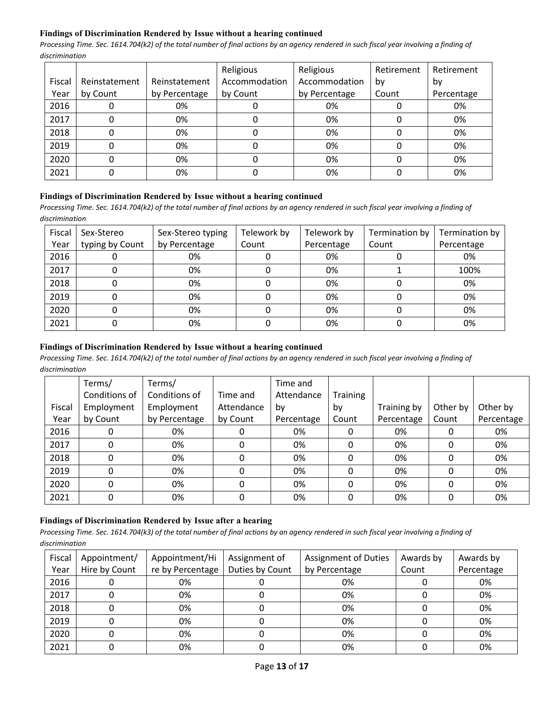# **Findings of Discrimination Rendered by Issue without a hearing continued**

*Processing Time. Sec. 1614.704(k2) of the total number of final actions by an agency rendered in such fiscal year involving a finding of discrimination*

|        |               |               | Religious     | Religious     | Retirement | Retirement |
|--------|---------------|---------------|---------------|---------------|------------|------------|
| Fiscal | Reinstatement | Reinstatement | Accommodation | Accommodation | bv         | by         |
| Year   | by Count      | by Percentage | by Count      | by Percentage | Count      | Percentage |
| 2016   |               | 0%            |               | 0%            |            | 0%         |
| 2017   |               | 0%            |               | 0%            |            | 0%         |
| 2018   |               | 0%            |               | 0%            |            | 0%         |
| 2019   |               | 0%            |               | 0%            |            | 0%         |
| 2020   |               | 0%            |               | 0%            |            | 0%         |
| 2021   |               | 0%            |               | 0%            |            | 0%         |

#### **Findings of Discrimination Rendered by Issue without a hearing continued**

*Processing Time. Sec. 1614.704(k2) of the total number of final actions by an agency rendered in such fiscal year involving a finding of discrimination*

| Fiscal | Sex-Stereo      | Sex-Stereo typing | Telework by | Telework by | Termination by | Termination by |
|--------|-----------------|-------------------|-------------|-------------|----------------|----------------|
| Year   | typing by Count | by Percentage     | Count       | Percentage  | Count          | Percentage     |
| 2016   |                 | 0%                |             | 0%          |                | 0%             |
| 2017   |                 | 0%                |             | 0%          |                | 100%           |
| 2018   |                 | 0%                |             | 0%          |                | 0%             |
| 2019   |                 | 0%                |             | 0%          |                | 0%             |
| 2020   |                 | 0%                |             | 0%          |                | 0%             |
| 2021   |                 | 0%                |             | 0%          |                | 0%             |

## **Findings of Discrimination Rendered by Issue without a hearing continued**

*Processing Time. Sec. 1614.704(k2) of the total number of final actions by an agency rendered in such fiscal year involving a finding of discrimination*

|        | Terms/        | Terms/        |            | Time and   |          |             |          |            |
|--------|---------------|---------------|------------|------------|----------|-------------|----------|------------|
|        | Conditions of | Conditions of | Time and   | Attendance | Training |             |          |            |
| Fiscal | Employment    | Employment    | Attendance | by         | by       | Training by | Other by | Other by   |
| Year   | by Count      | by Percentage | by Count   | Percentage | Count    | Percentage  | Count    | Percentage |
| 2016   | 0             | 0%            | 0          | 0%         |          | 0%          | 0        | 0%         |
| 2017   | 0             | 0%            | 0          | 0%         | 0        | 0%          | 0        | 0%         |
| 2018   | 0             | 0%            | 0          | 0%         | 0        | 0%          | 0        | 0%         |
| 2019   | 0             | 0%            | 0          | 0%         | 0        | 0%          | 0        | 0%         |
| 2020   | 0             | 0%            | 0          | 0%         | 0        | 0%          | 0        | 0%         |
| 2021   | 0             | 0%            | 0          | 0%         | 0        | 0%          | 0        | 0%         |

# **Findings of Discrimination Rendered by Issue after a hearing**

| Fiscal | Appointment/  | Appointment/Hi   | Assignment of   | <b>Assignment of Duties</b> | Awards by | Awards by  |
|--------|---------------|------------------|-----------------|-----------------------------|-----------|------------|
| Year   | Hire by Count | re by Percentage | Duties by Count | by Percentage               | Count     | Percentage |
| 2016   |               | 0%               |                 | 0%                          |           | 0%         |
| 2017   |               | 0%               |                 | 0%                          |           | 0%         |
| 2018   |               | 0%               |                 | 0%                          |           | 0%         |
| 2019   |               | 0%               |                 | 0%                          |           | 0%         |
| 2020   |               | 0%               |                 | 0%                          |           | 0%         |
| 2021   |               | 0%               |                 | 0%                          |           | 0%         |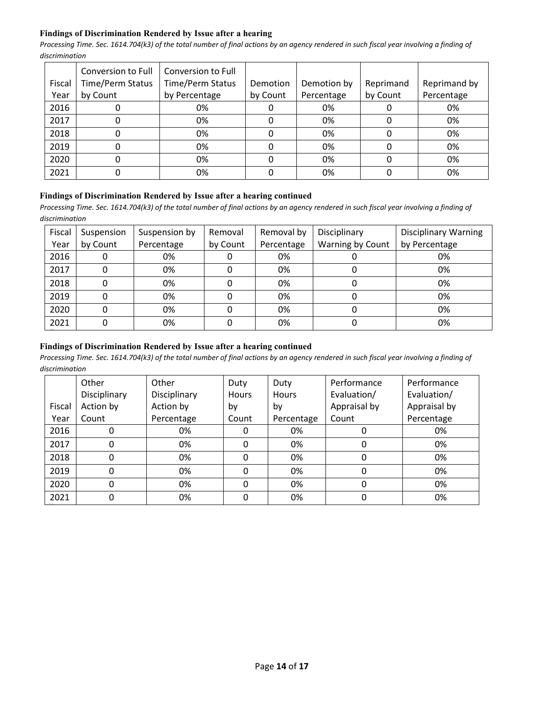# **Findings of Discrimination Rendered by Issue after a hearing**

*Processing Time. Sec. 1614.704(k3) of the total number of final actions by an agency rendered in such fiscal year involving a finding of discrimination*

|        | Conversion to Full      | Conversion to Full |          |             |           |              |
|--------|-------------------------|--------------------|----------|-------------|-----------|--------------|
| Fiscal | <b>Time/Perm Status</b> | Time/Perm Status   | Demotion | Demotion by | Reprimand | Reprimand by |
| Year   | by Count                | by Percentage      | by Count | Percentage  | by Count  | Percentage   |
| 2016   | υ                       | 0%                 | υ        | 0%          |           | 0%           |
| 2017   | 0                       | 0%                 | 0        | 0%          |           | 0%           |
| 2018   | 0                       | 0%                 | 0        | 0%          |           | 0%           |
| 2019   | 0                       | 0%                 | 0        | 0%          |           | 0%           |
| 2020   | 0                       | 0%                 | 0        | 0%          |           | 0%           |
| 2021   | 0                       | 0%                 |          | 0%          |           | 0%           |

# **Findings of Discrimination Rendered by Issue after a hearing continued**

Processing Time. Sec. 1614.704(k3) of the total number of final actions by an agency rendered in such fiscal year involving a finding of *discrimination*

| Fiscal<br>Year | Suspension<br>by Count | Suspension by<br>Percentage | Removal<br>by Count | Removal by<br>Percentage | Disciplinary<br>Warning by Count | <b>Disciplinary Warning</b><br>by Percentage |
|----------------|------------------------|-----------------------------|---------------------|--------------------------|----------------------------------|----------------------------------------------|
| 2016           | 0                      | 0%                          |                     | 0%                       |                                  | 0%                                           |
| 2017           | 0                      | 0%                          |                     | 0%                       |                                  | 0%                                           |
| 2018           |                        | 0%                          |                     | 0%                       |                                  | 0%                                           |
| 2019           | 0                      | 0%                          |                     | 0%                       |                                  | 0%                                           |
| 2020           | 0                      | 0%                          |                     | 0%                       |                                  | 0%                                           |
| 2021           | 0                      | 0%                          |                     | 0%                       |                                  | 0%                                           |

## **Findings of Discrimination Rendered by Issue after a hearing continued**

|        | Other        | Other        | Duty         | Duty         | Performance  | Performance  |
|--------|--------------|--------------|--------------|--------------|--------------|--------------|
|        | Disciplinary | Disciplinary | <b>Hours</b> | <b>Hours</b> | Evaluation/  | Evaluation/  |
| Fiscal | Action by    | Action by    | by           | by           | Appraisal by | Appraisal by |
| Year   | Count        | Percentage   | Count        | Percentage   | Count        | Percentage   |
| 2016   |              | 0%           | 0            | 0%           |              | 0%           |
| 2017   |              | 0%           | 0            | 0%           | 0            | 0%           |
| 2018   | $\Omega$     | 0%           | 0            | 0%           | 0            | 0%           |
| 2019   | $\Omega$     | 0%           | 0            | 0%           | 0            | 0%           |
| 2020   |              | 0%           | 0            | 0%           | 0            | 0%           |
| 2021   | 0            | 0%           | 0            | 0%           |              | 0%           |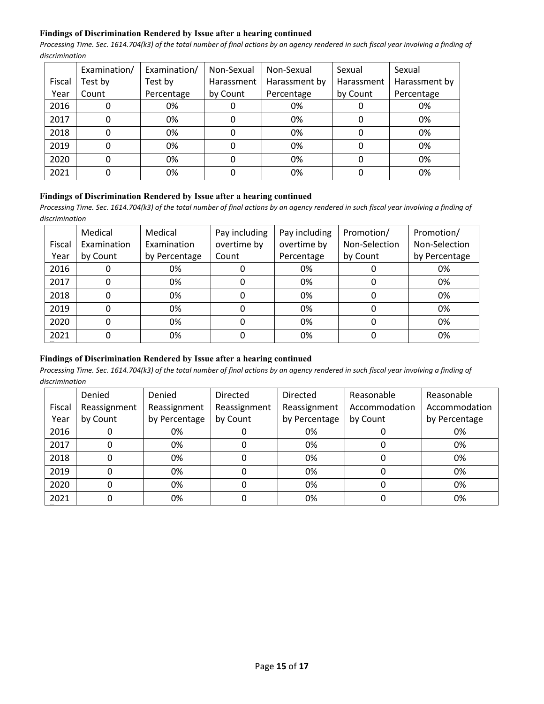## **Findings of Discrimination Rendered by Issue after a hearing continued**

*Processing Time. Sec. 1614.704(k3) of the total number of final actions by an agency rendered in such fiscal year involving a finding of discrimination*

|        | Examination/ | Examination/ | Non-Sexual | Non-Sexual    | Sexual     | Sexual        |
|--------|--------------|--------------|------------|---------------|------------|---------------|
| Fiscal | Test by      | Test by      | Harassment | Harassment by | Harassment | Harassment by |
| Year   | Count        | Percentage   | by Count   | Percentage    | by Count   | Percentage    |
| 2016   |              | 0%           |            | 0%            |            | 0%            |
| 2017   |              | 0%           |            | 0%            |            | 0%            |
| 2018   |              | 0%           |            | 0%            |            | 0%            |
| 2019   |              | 0%           |            | 0%            |            | 0%            |
| 2020   |              | 0%           |            | 0%            |            | 0%            |
| 2021   |              | 0%           |            | 0%            |            | 0%            |

## **Findings of Discrimination Rendered by Issue after a hearing continued**

*Processing Time. Sec. 1614.704(k3) of the total number of final actions by an agency rendered in such fiscal year involving a finding of discrimination*

|        | Medical     | Medical       | Pay including | Pay including | Promotion/    | Promotion/    |
|--------|-------------|---------------|---------------|---------------|---------------|---------------|
| Fiscal | Examination | Examination   | overtime by   | overtime by   | Non-Selection | Non-Selection |
| Year   | by Count    | by Percentage | Count         | Percentage    | by Count      | by Percentage |
| 2016   |             | 0%            |               | 0%            |               | 0%            |
| 2017   |             | 0%            | 0             | 0%            |               | 0%            |
| 2018   |             | 0%            | 0             | 0%            | 0             | 0%            |
| 2019   |             | 0%            | 0             | 0%            |               | 0%            |
| 2020   |             | 0%            |               | 0%            |               | 0%            |
| 2021   |             | 0%            |               | 0%            |               | 0%            |

# **Findings of Discrimination Rendered by Issue after a hearing continued**

|        | Denied       | Denied        | <b>Directed</b> | Directed      | Reasonable    | Reasonable    |
|--------|--------------|---------------|-----------------|---------------|---------------|---------------|
| Fiscal | Reassignment | Reassignment  | Reassignment    | Reassignment  | Accommodation | Accommodation |
| Year   | by Count     | by Percentage | by Count        | by Percentage | by Count      | by Percentage |
| 2016   |              | 0%            |                 | 0%            |               | 0%            |
| 2017   |              | 0%            |                 | 0%            |               | 0%            |
| 2018   |              | 0%            |                 | 0%            |               | 0%            |
| 2019   |              | 0%            |                 | 0%            | O             | 0%            |
| 2020   |              | 0%            |                 | 0%            |               | 0%            |
| 2021   |              | 0%            |                 | 0%            |               | 0%            |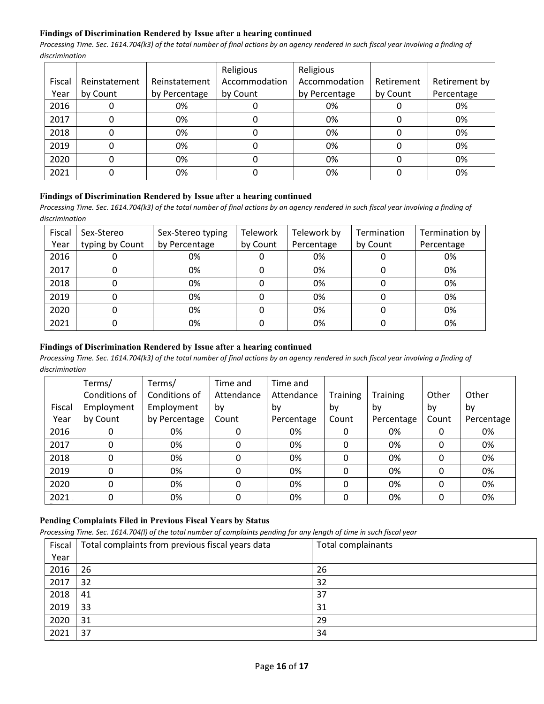## **Findings of Discrimination Rendered by Issue after a hearing continued**

*Processing Time. Sec. 1614.704(k3) of the total number of final actions by an agency rendered in such fiscal year involving a finding of discrimination*

|        |               |               | Religious     | Religious     |            |               |
|--------|---------------|---------------|---------------|---------------|------------|---------------|
| Fiscal | Reinstatement | Reinstatement | Accommodation | Accommodation | Retirement | Retirement by |
| Year   | by Count      | by Percentage | by Count      | by Percentage | by Count   | Percentage    |
| 2016   |               | 0%            |               | 0%            |            | 0%            |
| 2017   |               | 0%            |               | 0%            |            | 0%            |
| 2018   |               | 0%            |               | 0%            |            | 0%            |
| 2019   |               | 0%            |               | 0%            |            | 0%            |
| 2020   |               | 0%            |               | 0%            |            | 0%            |
| 2021   |               | 0%            |               | 0%            |            | 0%            |

#### **Findings of Discrimination Rendered by Issue after a hearing continued**

*Processing Time. Sec. 1614.704(k3) of the total number of final actions by an agency rendered in such fiscal year involving a finding of discrimination*

| Fiscal | Sex-Stereo      | Sex-Stereo typing | Telework | Telework by | Termination | Termination by |
|--------|-----------------|-------------------|----------|-------------|-------------|----------------|
| Year   | typing by Count | by Percentage     | by Count | Percentage  | by Count    | Percentage     |
| 2016   |                 | 0%                |          | 0%          |             | 0%             |
| 2017   |                 | 0%                |          | 0%          |             | 0%             |
| 2018   |                 | 0%                |          | 0%          |             | 0%             |
| 2019   |                 | 0%                |          | 0%          |             | 0%             |
| 2020   |                 | 0%                |          | 0%          |             | 0%             |
| 2021   |                 | 0%                |          | 0%          |             | 0%             |

## **Findings of Discrimination Rendered by Issue after a hearing continued**

*Processing Time. Sec. 1614.704(k3) of the total number of final actions by an agency rendered in such fiscal year involving a finding of discrimination*

|        | Terms/        | Terms/        | Time and   | Time and   |          |                 |       |            |
|--------|---------------|---------------|------------|------------|----------|-----------------|-------|------------|
|        | Conditions of | Conditions of | Attendance | Attendance | Training | <b>Training</b> | Other | Other      |
| Fiscal | Employment    | Employment    | by         | bv         | by       | bv              | by    | by         |
| Year   | by Count      | by Percentage | Count      | Percentage | Count    | Percentage      | Count | Percentage |
| 2016   |               | 0%            |            | 0%         | 0        | 0%              |       | 0%         |
| 2017   | 0             | 0%            | 0          | 0%         | 0        | 0%              | 0     | 0%         |
| 2018   | 0             | 0%            |            | 0%         | 0        | 0%              |       | 0%         |
| 2019   | 0             | 0%            |            | 0%         | 0        | 0%              |       | 0%         |
| 2020   | $\Omega$      | 0%            | 0          | 0%         | 0        | 0%              |       | 0%         |
| 2021   | 0             | 0%            | 0          | 0%         | 0        | 0%              |       | 0%         |

# **Pending Complaints Filed in Previous Fiscal Years by Status**

*Processing Time. Sec. 1614.704(l) of the total number of complaints pending for any length of time in such fiscal year*

| Fiscal | Total complaints from previous fiscal years data | Total complainants |
|--------|--------------------------------------------------|--------------------|
| Year   |                                                  |                    |
| 2016   | 26                                               | 26                 |
| 2017   | 32                                               | 32                 |
| 2018   | 41                                               | 37                 |
| 2019   | 33                                               | 31                 |
| 2020   | 31                                               | 29                 |
| 2021   | 37                                               | 34                 |